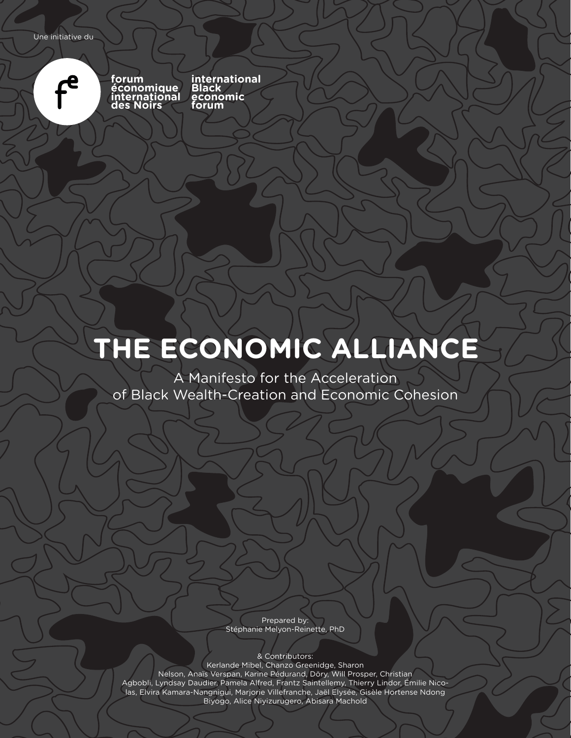

**forum économique international des Noirs**

**international Black economic forum**

### **THE ECONOMIC ALLIANCE**

A Manifesto for the Acceleration of Black Wealth-Creation and Economic Cohesion

> Prepared by: Stéphanie Melyon-Reinette, PhD

> > & Contributors:

Kerlande Mibel, Chanzo Greenidge, Sharon Nelson, Anaïs Verspan, Karine Pédurand, Döry, Will Prosper, Christian Agbobli, Lyndsay Daudier, Pamela Alfred, Frantz Saintellemy, Thierry Lindor, Émilie Nicolas, Elvira Kamara-Nangnigui, Marjorie Villefranche, Jaël Elysée, Gisèle Hortense Ndong Biyogo, Alice Niyizurugero, Abisara Machold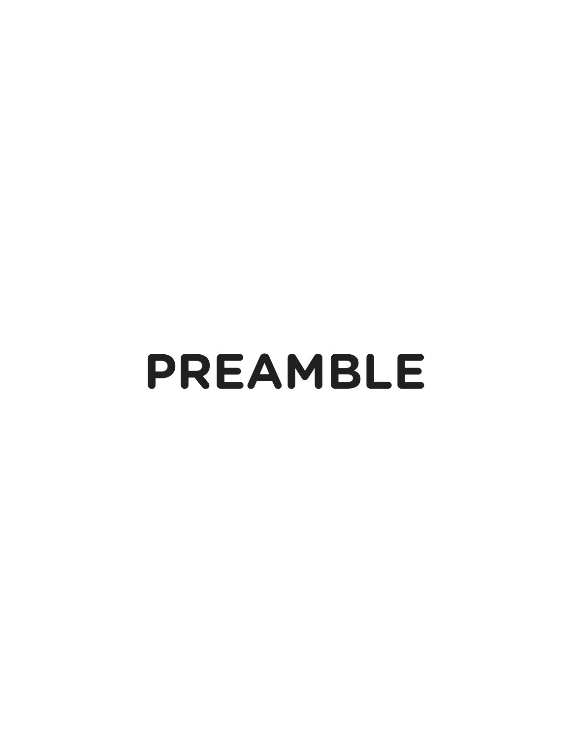# **PREAMBLE**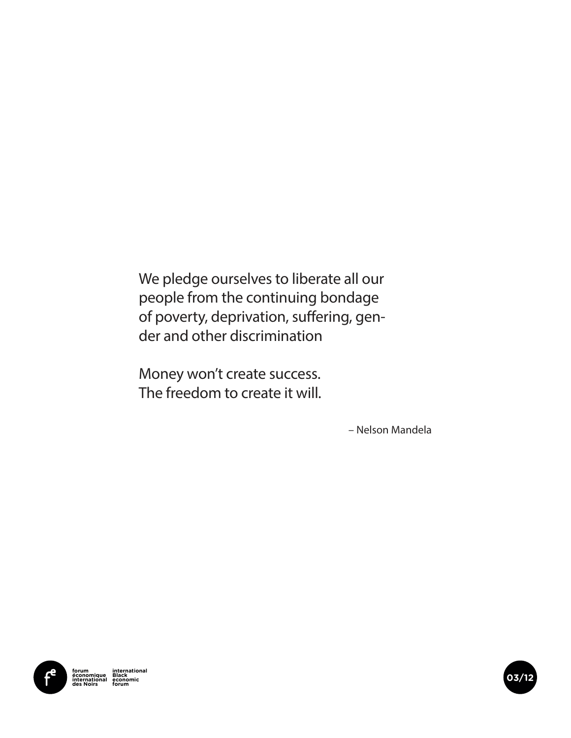We pledge ourselves to liberate all our people from the continuing bondage of poverty, deprivation, suffering, gender and other discrimination

Money won't create success. The freedom to create it will.

– Nelson Mandela



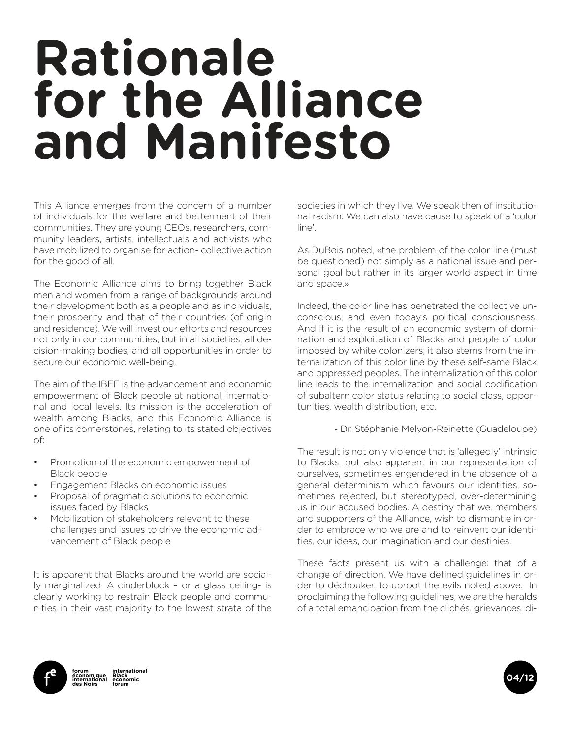## **Rationale for the Alliance and Manifesto**

This Alliance emerges from the concern of a number of individuals for the welfare and betterment of their communities. They are young CEOs, researchers, community leaders, artists, intellectuals and activists who have mobilized to organise for action- collective action for the good of all.

The Economic Alliance aims to bring together Black men and women from a range of backgrounds around their development both as a people and as individuals, their prosperity and that of their countries (of origin and residence). We will invest our efforts and resources not only in our communities, but in all societies, all decision-making bodies, and all opportunities in order to secure our economic well-being.

The aim of the IBEF is the advancement and economic empowerment of Black people at national, international and local levels. Its mission is the acceleration of wealth among Blacks, and this Economic Alliance is one of its cornerstones, relating to its stated objectives of:

- Promotion of the economic empowerment of Black people
- Engagement Blacks on economic issues
- Proposal of pragmatic solutions to economic issues faced by Blacks
- Mobilization of stakeholders relevant to these challenges and issues to drive the economic advancement of Black people

It is apparent that Blacks around the world are socially marginalized. A cinderblock – or a glass ceiling- is clearly working to restrain Black people and communities in their vast majority to the lowest strata of the

societies in which they live. We speak then of institutional racism. We can also have cause to speak of a 'color line'.

As DuBois noted, «the problem of the color line (must be questioned) not simply as a national issue and personal goal but rather in its larger world aspect in time and space.»

Indeed, the color line has penetrated the collective unconscious, and even today's political consciousness. And if it is the result of an economic system of domination and exploitation of Blacks and people of color imposed by white colonizers, it also stems from the internalization of this color line by these self-same Black and oppressed peoples. The internalization of this color line leads to the internalization and social codification of subaltern color status relating to social class, opportunities, wealth distribution, etc.

- Dr. Stéphanie Melyon-Reinette (Guadeloupe)

The result is not only violence that is 'allegedly' intrinsic to Blacks, but also apparent in our representation of ourselves, sometimes engendered in the absence of a general determinism which favours our identities, sometimes rejected, but stereotyped, over-determining us in our accused bodies. A destiny that we, members and supporters of the Alliance, wish to dismantle in order to embrace who we are and to reinvent our identities, our ideas, our imagination and our destinies.

These facts present us with a challenge: that of a change of direction. We have defined guidelines in order to déchouker, to uproot the evils noted above. In proclaiming the following guidelines, we are the heralds of a total emancipation from the clichés, grievances, di-



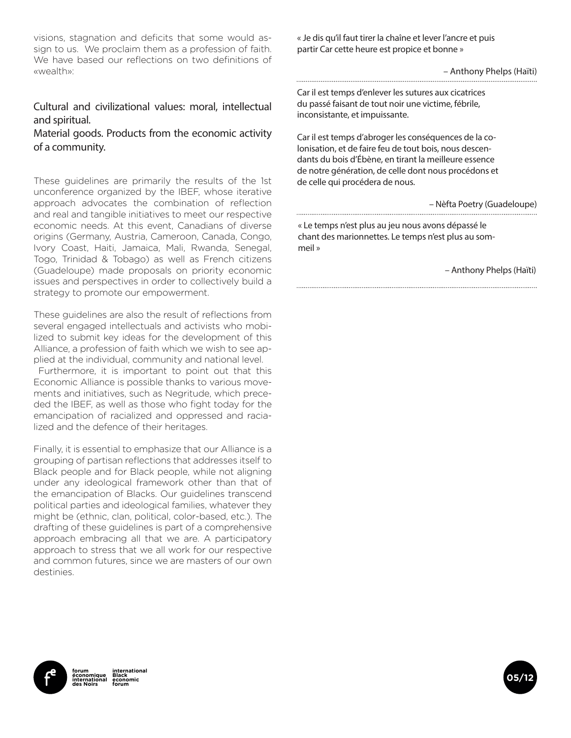visions, stagnation and deficits that some would assign to us. We proclaim them as a profession of faith. We have based our reflections on two definitions of «wealth»:

#### Cultural and civilizational values: moral, intellectual and spiritual.

Material goods. Products from the economic activity of a community.

These guidelines are primarily the results of the 1st unconference organized by the IBEF, whose iterative approach advocates the combination of reflection and real and tangible initiatives to meet our respective economic needs. At this event, Canadians of diverse origins (Germany, Austria, Cameroon, Canada, Congo, Ivory Coast, Haiti, Jamaica, Mali, Rwanda, Senegal, Togo, Trinidad & Tobago) as well as French citizens (Guadeloupe) made proposals on priority economic issues and perspectives in order to collectively build a strategy to promote our empowerment.

These guidelines are also the result of reflections from several engaged intellectuals and activists who mobilized to submit key ideas for the development of this Alliance, a profession of faith which we wish to see applied at the individual, community and national level.

 Furthermore, it is important to point out that this Economic Alliance is possible thanks to various movements and initiatives, such as Negritude, which preceded the IBEF, as well as those who fight today for the emancipation of racialized and oppressed and racialized and the defence of their heritages.

Finally, it is essential to emphasize that our Alliance is a grouping of partisan reflections that addresses itself to Black people and for Black people, while not aligning under any ideological framework other than that of the emancipation of Blacks. Our guidelines transcend political parties and ideological families, whatever they might be (ethnic, clan, political, color-based, etc.). The drafting of these guidelines is part of a comprehensive approach embracing all that we are. A participatory approach to stress that we all work for our respective and common futures, since we are masters of our own destinies.

« Je dis qu'il faut tirer la chaîne et lever l'ancre et puis partir Car cette heure est propice et bonne »

– Anthony Phelps (Haïti)

Car il est temps d'enlever les sutures aux cicatrices du passé faisant de tout noir une victime, fébrile, inconsistante, et impuissante.

Car il est temps d'abroger les conséquences de la colonisation, et de faire feu de tout bois, nous descendants du bois d'Ébène, en tirant la meilleure essence de notre génération, de celle dont nous procédons et de celle qui procédera de nous.

– Nèfta Poetry (Guadeloupe)

« Le temps n'est plus au jeu nous avons dépassé le chant des marionnettes. Le temps n'est plus au sommeil »

– Anthony Phelps (Haïti)



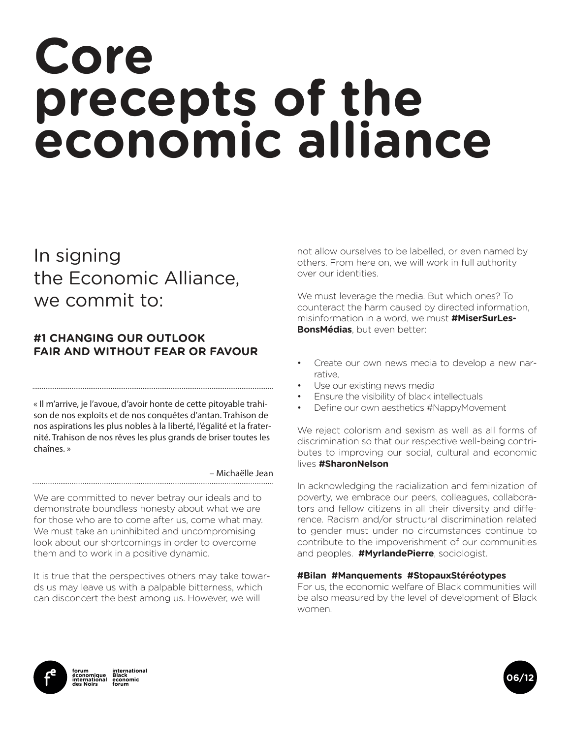## **Core precepts of the economic alliance**

### In signing the Economic Alliance, we commit to:

#### **#1 CHANGING OUR OUTLOOK FAIR AND WITHOUT FEAR OR FAVOUR**

« Il m'arrive, je l'avoue, d'avoir honte de cette pitoyable trahison de nos exploits et de nos conquêtes d'antan. Trahison de nos aspirations les plus nobles à la liberté, l'égalité et la fraternité. Trahison de nos rêves les plus grands de briser toutes les chaînes. »

– Michaëlle Jean

We are committed to never betray our ideals and to demonstrate boundless honesty about what we are for those who are to come after us, come what may. We must take an uninhibited and uncompromising look about our shortcomings in order to overcome them and to work in a positive dynamic.

It is true that the perspectives others may take towards us may leave us with a palpable bitterness, which can disconcert the best among us. However, we will

not allow ourselves to be labelled, or even named by others. From here on, we will work in full authority over our identities.

We must leverage the media. But which ones? To counteract the harm caused by directed information, misinformation in a word, we must **#MiserSurLes-BonsMédias**, but even better:

- Create our own news media to develop a new narrative,
- Use our existing news media
- Ensure the visibility of black intellectuals
- Define our own aesthetics #NappyMovement

We reject colorism and sexism as well as all forms of discrimination so that our respective well-being contributes to improving our social, cultural and economic lives **#SharonNelson**

In acknowledging the racialization and feminization of poverty, we embrace our peers, colleagues, collaborators and fellow citizens in all their diversity and difference. Racism and/or structural discrimination related to gender must under no circumstances continue to contribute to the impoverishment of our communities and peoples. **#MyrlandePierre**, sociologist.

#### **#Bilan #Manquements #StopauxStéréotypes**

For us, the economic welfare of Black communities will be also measured by the level of development of Black women.



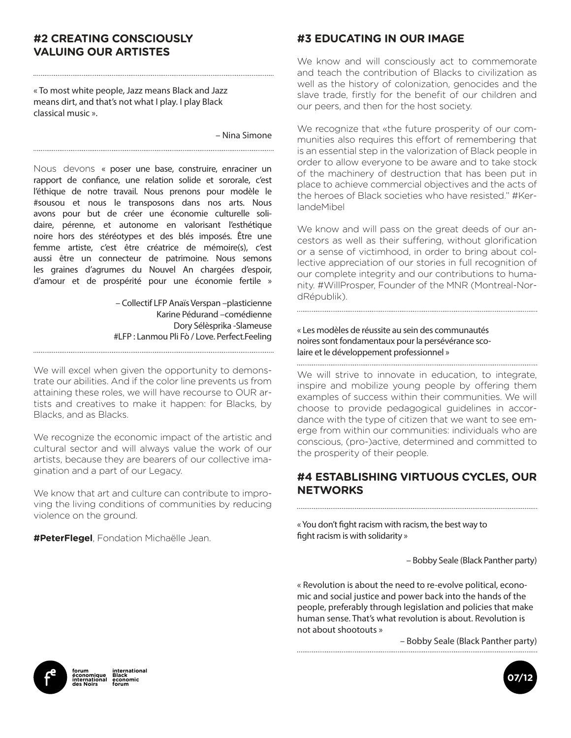#### **#2 CREATING CONSCIOUSLY VALUING OUR ARTISTES**

« To most white people, Jazz means Black and Jazz means dirt, and that's not what I play. I play Black classical music ».

– Nina Simone

Nous devons « poser une base, construire, enraciner un rapport de confiance, une relation solide et sororale, c'est l'éthique de notre travail. Nous prenons pour modèle le #sousou et nous le transposons dans nos arts. Nous avons pour but de créer une économie culturelle solidaire, pérenne, et autonome en valorisant l'esthétique noire hors des stéréotypes et des blés imposés. Être une femme artiste, c'est être créatrice de mémoire(s), c'est aussi être un connecteur de patrimoine. Nous semons les graines d'agrumes du Nouvel An chargées d'espoir, d'amour et de prospérité pour une économie fertile »

 – Collectif LFP Anaïs Verspan –plasticienne Karine Pédurand –comédienne Dory Sélèsprika -Slameuse #LFP : Lanmou Pli Fò / Love. Perfect.Feeling

We will excel when given the opportunity to demonstrate our abilities. And if the color line prevents us from attaining these roles, we will have recourse to OUR artists and creatives to make it happen: for Blacks, by Blacks, and as Blacks.

We recognize the economic impact of the artistic and cultural sector and will always value the work of our artists, because they are bearers of our collective imagination and a part of our Legacy.

We know that art and culture can contribute to improving the living conditions of communities by reducing violence on the ground.

**#PeterFlegel**, Fondation Michaëlle Jean.

#### **#3 EDUCATING IN OUR IMAGE**

We know and will consciously act to commemorate and teach the contribution of Blacks to civilization as well as the history of colonization, genocides and the slave trade, firstly for the benefit of our children and our peers, and then for the host society.

We recognize that «the future prosperity of our communities also requires this effort of remembering that is an essential step in the valorization of Black people in order to allow everyone to be aware and to take stock of the machinery of destruction that has been put in place to achieve commercial objectives and the acts of the heroes of Black societies who have resisted." #KerlandeMibel

We know and will pass on the great deeds of our ancestors as well as their suffering, without glorification or a sense of victimhood, in order to bring about collective appreciation of our stories in full recognition of our complete integrity and our contributions to humanity. #WillProsper, Founder of the MNR (Montreal-NordRépublik).

« Les modèles de réussite au sein des communautés noires sont fondamentaux pour la persévérance scolaire et le développement professionnel » 

We will strive to innovate in education, to integrate, inspire and mobilize young people by offering them examples of success within their communities. We will choose to provide pedagogical guidelines in accordance with the type of citizen that we want to see emerge from within our communities: individuals who are conscious, (pro-)active, determined and committed to the prosperity of their people.

#### **#4 ESTABLISHING VIRTUOUS CYCLES, OUR NETWORKS**

« You don't fight racism with racism, the best way to fight racism is with solidarity »

– Bobby Seale (Black Panther party)

« Revolution is about the need to re-evolve political, economic and social justice and power back into the hands of the people, preferably through legislation and policies that make human sense. That's what revolution is about. Revolution is not about shootouts »

– Bobby Seale (Black Panther party)



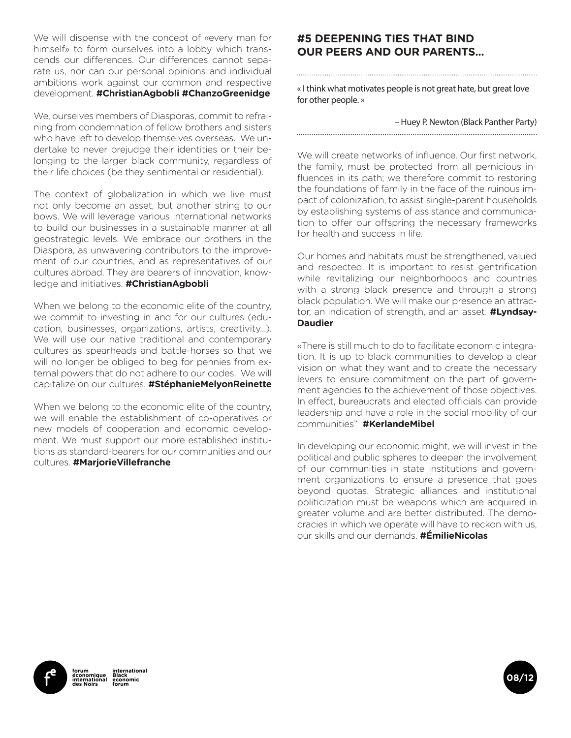We will dispense with the concept of «every man for himself» to form ourselves into a lobby which transcends our differences. Our differences cannot separate us, nor can our personal opinions and individual ambitions work against our common and respective development. **#ChristianAgbobli #ChanzoGreenidge**

We, ourselves members of Diasporas, commit to refraining from condemnation of fellow brothers and sisters who have left to develop themselves overseas. We undertake to never prejudge their identities or their belonging to the larger black community, regardless of their life choices (be they sentimental or residential).

The context of globalization in which we live must not only become an asset, but another string to our bows. We will leverage various international networks to build our businesses in a sustainable manner at all geostrategic levels. We embrace our brothers in the Diaspora, as unwavering contributors to the improvement of our countries, and as representatives of our cultures abroad. They are bearers of innovation, knowledge and initiatives. **#ChristianAgbobli** 

When we belong to the economic elite of the country, we commit to investing in and for our cultures (education, businesses, organizations, artists, creativity...). We will use our native traditional and contemporary cultures as spearheads and battle-horses so that we will no longer be obliged to beg for pennies from external powers that do not adhere to our codes. We will capitalize on our cultures. **#StéphanieMelyonReinette**

When we belong to the economic elite of the country, we will enable the establishment of co-operatives or new models of cooperation and economic development. We must support our more established institutions as standard-bearers for our communities and our cultures. **#MarjorieVillefranche**

#### **#5 DEEPENING TIES THAT BIND OUR PEERS AND OUR PARENTS...**

« I think what motivates people is not great hate, but great love for other people. »

#### – Huey P. Newton (Black Panther Party)

We will create networks of influence. Our first network, the family, must be protected from all pernicious influences in its path; we therefore commit to restoring the foundations of family in the face of the ruinous impact of colonization, to assist single-parent households by establishing systems of assistance and communication to offer our offspring the necessary frameworks for health and success in life.

Our homes and habitats must be strengthened, valued and respected. It is important to resist gentrification while revitalizing our neighborhoods and countries with a strong black presence and through a strong black population. We will make our presence an attractor, an indication of strength, and an asset. **#Lyndsay-Daudier** 

«There is still much to do to facilitate economic integration. It is up to black communities to develop a clear vision on what they want and to create the necessary levers to ensure commitment on the part of government agencies to the achievement of those objectives. In effect, bureaucrats and elected officials can provide leadership and have a role in the social mobility of our communities" **#KerlandeMibel** 

In developing our economic might, we will invest in the political and public spheres to deepen the involvement of our communities in state institutions and government organizations to ensure a presence that goes beyond quotas. Strategic alliances and institutional politicization must be weapons which are acquired in greater volume and are better distributed. The democracies in which we operate will have to reckon with us, our skills and our demands. **#ÉmilieNicolas**



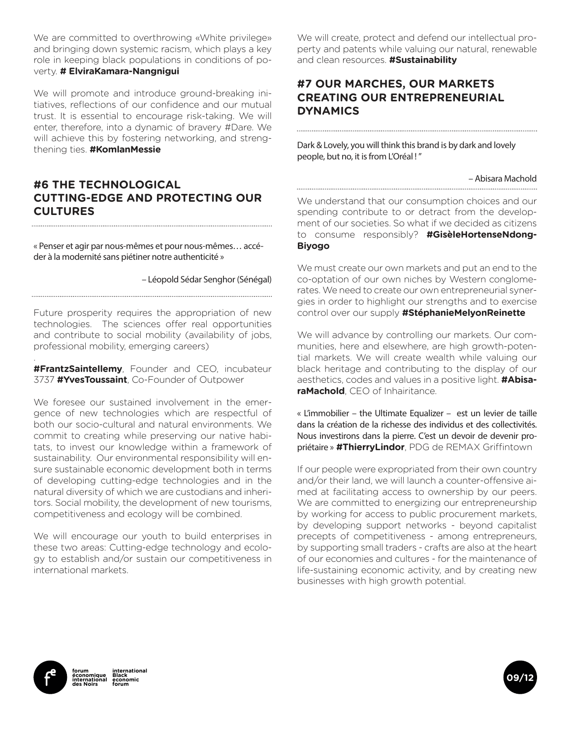We are committed to overthrowing «White privilege» and bringing down systemic racism, which plays a key role in keeping black populations in conditions of poverty. **# ElviraKamara-Nangnigui**

We will promote and introduce ground-breaking initiatives, reflections of our confidence and our mutual trust. It is essential to encourage risk-taking. We will enter, therefore, into a dynamic of bravery #Dare. We will achieve this by fostering networking, and strengthening ties. **#KomlanMessie** 

#### **#6 THE TECHNOLOGICAL CUTTING-EDGE AND PROTECTING OUR CULTURES**

« Penser et agir par nous-mêmes et pour nous-mêmes… accéder à la modernité sans piétiner notre authenticité »

– Léopold Sédar Senghor (Sénégal)

Future prosperity requires the appropriation of new technologies. The sciences offer real opportunities and contribute to social mobility (availability of jobs, professional mobility, emerging careers)

**#FrantzSaintellemy**, Founder and CEO, incubateur 3737 **#YvesToussaint**, Co-Founder of Outpower

We foresee our sustained involvement in the emergence of new technologies which are respectful of both our socio-cultural and natural environments. We commit to creating while preserving our native habitats, to invest our knowledge within a framework of sustainability. Our environmental responsibility will ensure sustainable economic development both in terms of developing cutting-edge technologies and in the natural diversity of which we are custodians and inheritors. Social mobility, the development of new tourisms, competitiveness and ecology will be combined.

We will encourage our youth to build enterprises in these two areas: Cutting-edge technology and ecology to establish and/or sustain our competitiveness in international markets.

We will create, protect and defend our intellectual property and patents while valuing our natural, renewable and clean resources. **#Sustainability** 

#### **#7 OUR MARCHES, OUR MARKETS CREATING OUR ENTREPRENEURIAL DYNAMICS**

Dark & Lovely, you will think this brand is by dark and lovely people, but no, it is from L'Oréal ! "

#### – Abisara Machold

We understand that our consumption choices and our spending contribute to or detract from the development of our societies. So what if we decided as citizens to consume responsibly? **#GisèleHortenseNdong-Biyogo**

We must create our own markets and put an end to the co-optation of our own niches by Western conglomerates. We need to create our own entrepreneurial synergies in order to highlight our strengths and to exercise control over our supply **#StéphanieMelyonReinette**

We will advance by controlling our markets. Our communities, here and elsewhere, are high growth-potential markets. We will create wealth while valuing our black heritage and contributing to the display of our aesthetics, codes and values in a positive light. **#AbisaraMachold**, CEO of Inhairitance.

« L'immobilier – the Ultimate Equalizer – est un levier de taille dans la création de la richesse des individus et des collectivités. Nous investirons dans la pierre. C'est un devoir de devenir propriétaire » **#ThierryLindor**, PDG de REMAX Griffintown

If our people were expropriated from their own country and/or their land, we will launch a counter-offensive aimed at facilitating access to ownership by our peers. We are committed to energizing our entrepreneurship by working for access to public procurement markets, by developing support networks - beyond capitalist precepts of competitiveness - among entrepreneurs, by supporting small traders - crafts are also at the heart of our economies and cultures - for the maintenance of life-sustaining economic activity, and by creating new businesses with high growth potential.



.

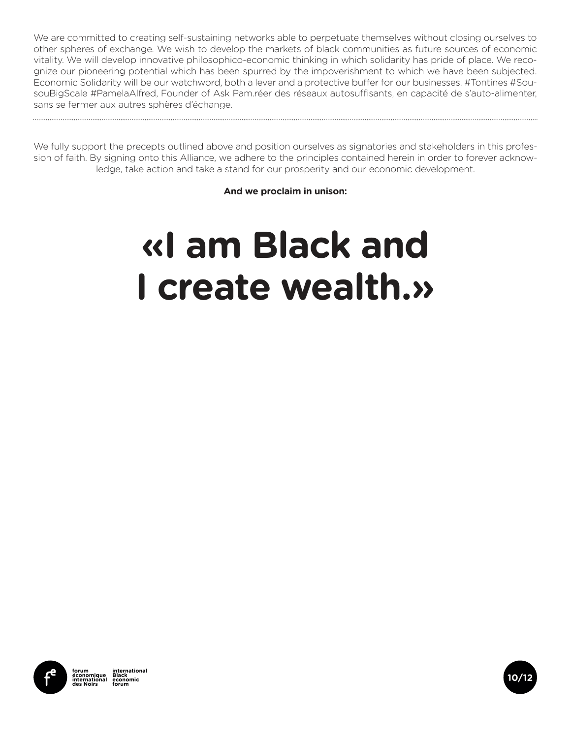We are committed to creating self-sustaining networks able to perpetuate themselves without closing ourselves to other spheres of exchange. We wish to develop the markets of black communities as future sources of economic vitality. We will develop innovative philosophico-economic thinking in which solidarity has pride of place. We recognize our pioneering potential which has been spurred by the impoverishment to which we have been subjected. Economic Solidarity will be our watchword, both a lever and a protective buffer for our businesses. #Tontines #SousouBigScale #PamelaAlfred, Founder of Ask Pam.réer des réseaux autosuffisants, en capacité de s'auto-alimenter, sans se fermer aux autres sphères d'échange.

We fully support the precepts outlined above and position ourselves as signatories and stakeholders in this profession of faith. By signing onto this Alliance, we adhere to the principles contained herein in order to forever acknowledge, take action and take a stand for our prosperity and our economic development.

**And we proclaim in unison:** 

### **«I am Black and I create wealth.»**



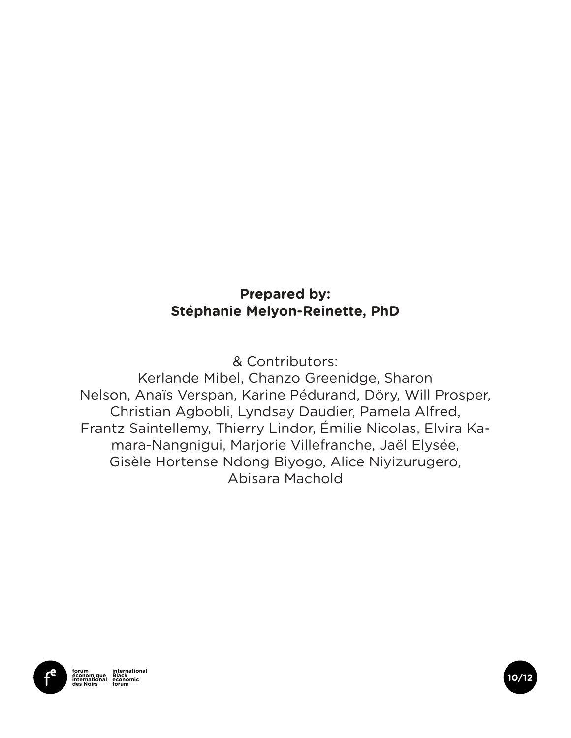#### **Prepared by: Stéphanie Melyon-Reinette, PhD**

& Contributors:

Kerlande Mibel, Chanzo Greenidge, Sharon Nelson, Anaïs Verspan, Karine Pédurand, Döry, Will Prosper, Christian Agbobli, Lyndsay Daudier, Pamela Alfred, Frantz Saintellemy, Thierry Lindor, Émilie Nicolas, Elvira Kamara-Nangnigui, Marjorie Villefranche, Jaël Elysée, Gisèle Hortense Ndong Biyogo, Alice Niyizurugero, Abisara Machold